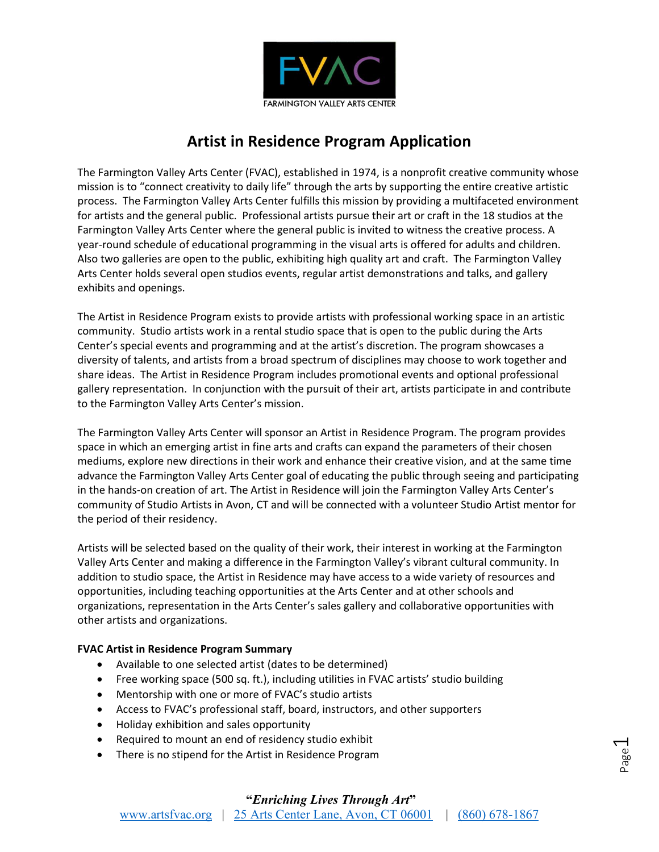

# **Artist in Residence Program Application**

The Farmington Valley Arts Center (FVAC), established in 1974, is a nonprofit creative community whose mission is to "connect creativity to daily life" through the arts by supporting the entire creative artistic process. The Farmington Valley Arts Center fulfills this mission by providing a multifaceted environment for artists and the general public. Professional artists pursue their art or craft in the 18 studios at the Farmington Valley Arts Center where the general public is invited to witness the creative process. A year-round schedule of educational programming in the visual arts is offered for adults and children. Also two galleries are open to the public, exhibiting high quality art and craft. The Farmington Valley Arts Center holds several open studios events, regular artist demonstrations and talks, and gallery exhibits and openings.

The Artist in Residence Program exists to provide artists with professional working space in an artistic community. Studio artists work in a rental studio space that is open to the public during the Arts Center's special events and programming and at the artist's discretion. The program showcases a diversity of talents, and artists from a broad spectrum of disciplines may choose to work together and share ideas. The Artist in Residence Program includes promotional events and optional professional gallery representation. In conjunction with the pursuit of their art, artists participate in and contribute to the Farmington Valley Arts Center's mission.

The Farmington Valley Arts Center will sponsor an Artist in Residence Program. The program provides space in which an emerging artist in fine arts and crafts can expand the parameters of their chosen mediums, explore new directions in their work and enhance their creative vision, and at the same time advance the Farmington Valley Arts Center goal of educating the public through seeing and participating in the hands-on creation of art. The Artist in Residence will join the Farmington Valley Arts Center's community of Studio Artists in Avon, CT and will be connected with a volunteer Studio Artist mentor for the period of their residency.

Artists will be selected based on the quality of their work, their interest in working at the Farmington Valley Arts Center and making a difference in the Farmington Valley's vibrant cultural community. In addition to studio space, the Artist in Residence may have access to a wide variety of resources and opportunities, including teaching opportunities at the Arts Center and at other schools and organizations, representation in the Arts Center's sales gallery and collaborative opportunities with other artists and organizations.

## **FVAC Artist in Residence Program Summary**

- Available to one selected artist (dates to be determined)
- Free working space (500 sq. ft.), including utilities in FVAC artists' studio building
- Mentorship with one or more of FVAC's studio artists
- Access to FVAC's professional staff, board, instructors, and other supporters
- Holiday exhibition and sales opportunity
- Required to mount an end of residency studio exhibit
- There is no stipend for the Artist in Residence Program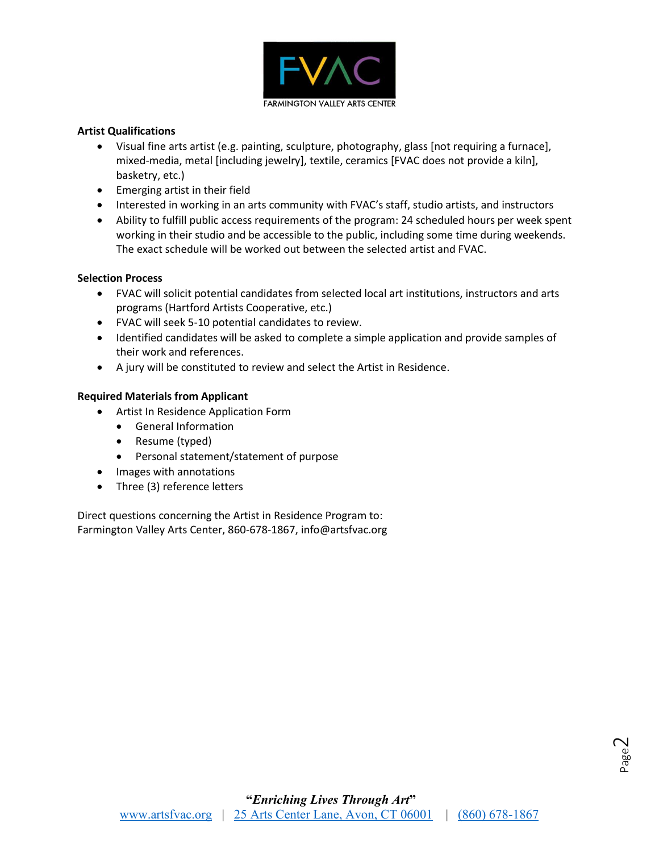

### **Artist Qualifications**

- Visual fine arts artist (e.g. painting, sculpture, photography, glass [not requiring a furnace], mixed-media, metal [including jewelry], textile, ceramics [FVAC does not provide a kiln], basketry, etc.)
- Emerging artist in their field
- Interested in working in an arts community with FVAC's staff, studio artists, and instructors
- Ability to fulfill public access requirements of the program: 24 scheduled hours per week spent working in their studio and be accessible to the public, including some time during weekends. The exact schedule will be worked out between the selected artist and FVAC.

### **Selection Process**

- FVAC will solicit potential candidates from selected local art institutions, instructors and arts programs (Hartford Artists Cooperative, etc.)
- FVAC will seek 5-10 potential candidates to review.
- Identified candidates will be asked to complete a simple application and provide samples of their work and references.
- A jury will be constituted to review and select the Artist in Residence.

### **Required Materials from Applicant**

- Artist In Residence Application Form
	- General Information
	- Resume (typed)
	- Personal statement/statement of purpose
- Images with annotations
- Three (3) reference letters

Direct questions concerning the Artist in Residence Program to: Farmington Valley Arts Center, 860-678-1867, info@artsfvac.org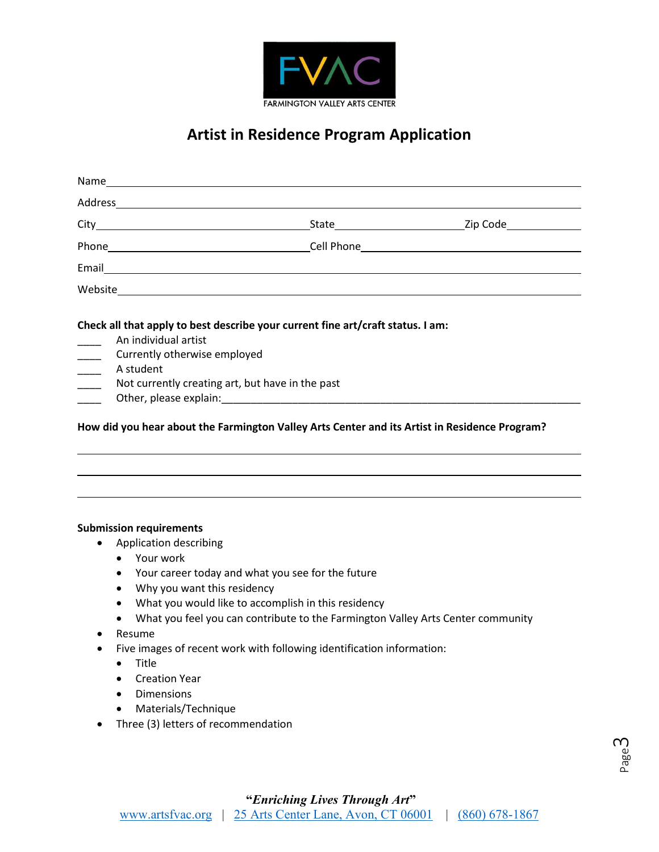

# **Artist in Residence Program Application**

| An individual artist<br>______ Currently otherwise employed<br>$\frac{1}{1}$<br>A student<br>$\frac{1}{1}$ | Not currently creating art, but have in the past |                                                                                               |
|------------------------------------------------------------------------------------------------------------|--------------------------------------------------|-----------------------------------------------------------------------------------------------|
|                                                                                                            |                                                  | How did you hear about the Farmington Valley Arts Center and its Artist in Residence Program? |

#### **Submission requirements**

- Application describing
	- Your work
	- Your career today and what you see for the future
	- Why you want this residency
	- What you would like to accomplish in this residency
	- What you feel you can contribute to the Farmington Valley Arts Center community
- Resume
- Five images of recent work with following identification information:
	- Title
	- Creation Year
	- Dimensions
	- Materials/Technique
- Three (3) letters of recommendation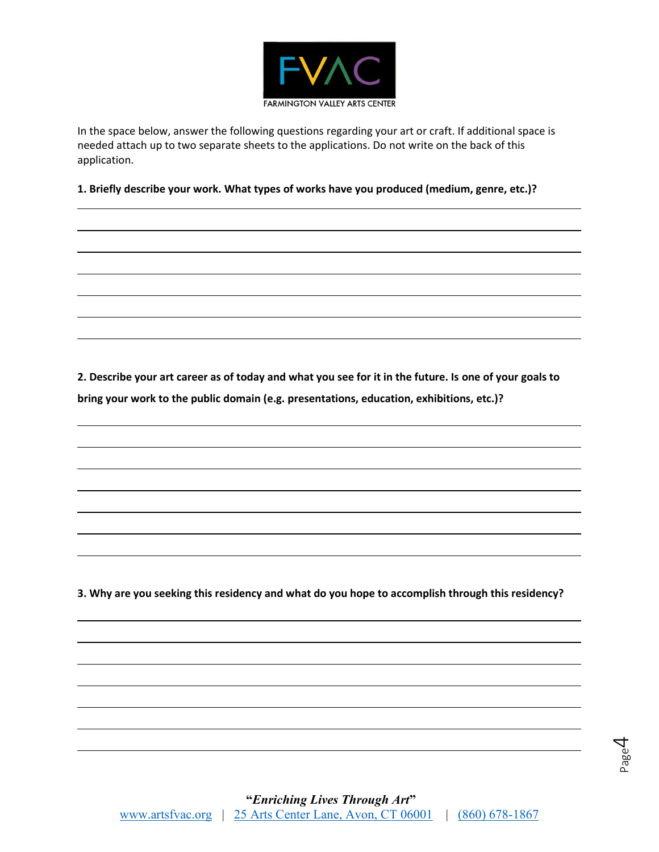

In the space below, answer the following questions regarding your art or craft. If additional space is needed attach up to two separate sheets to the applications. Do not write on the back of this application.

**1. Briefly describe your work. What types of works have you produced (medium, genre, etc.)?**

**2. Describe your art career as of today and what you see for it in the future. Is one of your goals to bring your work to the public domain (e.g. presentations, education, exhibitions, etc.)?**

**3. Why are you seeking this residency and what do you hope to accomplish through this residency?**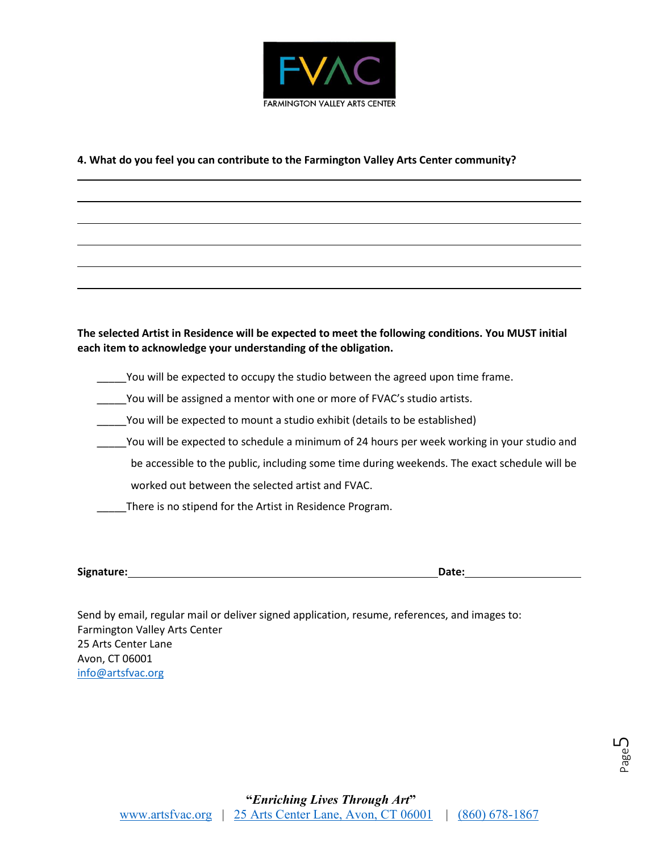

### **4. What do you feel you can contribute to the Farmington Valley Arts Center community?**

## **The selected Artist in Residence will be expected to meet the following conditions. You MUST initial each item to acknowledge your understanding of the obligation.**

- \_\_\_\_You will be expected to occupy the studio between the agreed upon time frame.
- \_\_\_\_\_You will be assigned a mentor with one or more of FVAC's studio artists.
- \_\_\_\_\_You will be expected to mount a studio exhibit (details to be established)
- You will be expected to schedule a minimum of 24 hours per week working in your studio and be accessible to the public, including some time during weekends. The exact schedule will be
	- worked out between the selected artist and FVAC.
- \_\_\_\_\_There is no stipend for the Artist in Residence Program.

**Signature: Date:**

Send by email, regular mail or deliver signed application, resume, references, and images to: Farmington Valley Arts Center 25 Arts Center Lane Avon, CT 06001 [info@artsfvac.org](mailto:info@artsfvac.org)